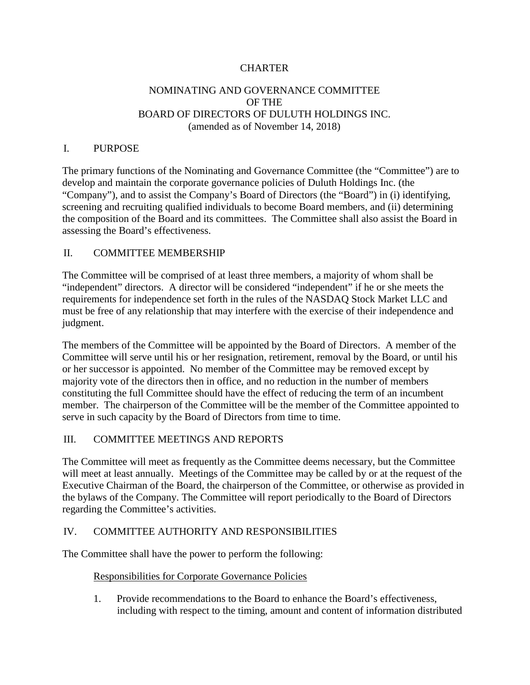# **CHARTER**

# NOMINATING AND GOVERNANCE COMMITTEE OF THE BOARD OF DIRECTORS OF DULUTH HOLDINGS INC. (amended as of November 14, 2018)

## I. PURPOSE

The primary functions of the Nominating and Governance Committee (the "Committee") are to develop and maintain the corporate governance policies of Duluth Holdings Inc. (the "Company"), and to assist the Company's Board of Directors (the "Board") in (i) identifying, screening and recruiting qualified individuals to become Board members, and (ii) determining the composition of the Board and its committees. The Committee shall also assist the Board in assessing the Board's effectiveness.

### II. COMMITTEE MEMBERSHIP

The Committee will be comprised of at least three members, a majority of whom shall be "independent" directors. A director will be considered "independent" if he or she meets the requirements for independence set forth in the rules of the NASDAQ Stock Market LLC and must be free of any relationship that may interfere with the exercise of their independence and judgment.

The members of the Committee will be appointed by the Board of Directors. A member of the Committee will serve until his or her resignation, retirement, removal by the Board, or until his or her successor is appointed. No member of the Committee may be removed except by majority vote of the directors then in office, and no reduction in the number of members constituting the full Committee should have the effect of reducing the term of an incumbent member. The chairperson of the Committee will be the member of the Committee appointed to serve in such capacity by the Board of Directors from time to time.

## III. COMMITTEE MEETINGS AND REPORTS

The Committee will meet as frequently as the Committee deems necessary, but the Committee will meet at least annually. Meetings of the Committee may be called by or at the request of the Executive Chairman of the Board, the chairperson of the Committee, or otherwise as provided in the bylaws of the Company. The Committee will report periodically to the Board of Directors regarding the Committee's activities.

## IV. COMMITTEE AUTHORITY AND RESPONSIBILITIES

The Committee shall have the power to perform the following:

#### Responsibilities for Corporate Governance Policies

1. Provide recommendations to the Board to enhance the Board's effectiveness, including with respect to the timing, amount and content of information distributed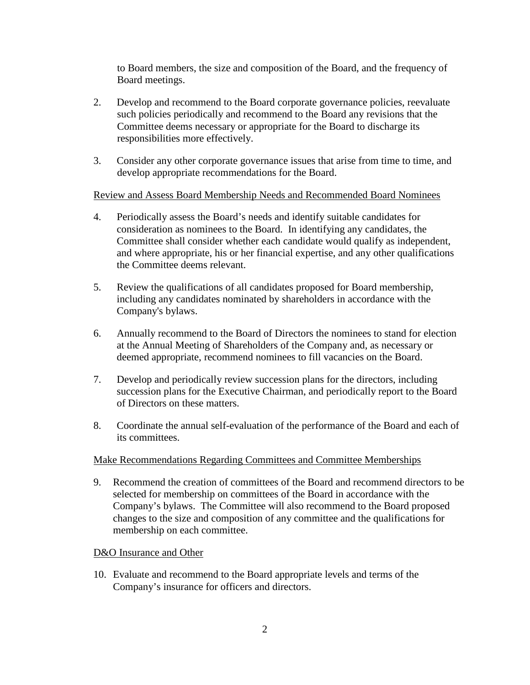to Board members, the size and composition of the Board, and the frequency of Board meetings.

- 2. Develop and recommend to the Board corporate governance policies, reevaluate such policies periodically and recommend to the Board any revisions that the Committee deems necessary or appropriate for the Board to discharge its responsibilities more effectively.
- 3. Consider any other corporate governance issues that arise from time to time, and develop appropriate recommendations for the Board.

Review and Assess Board Membership Needs and Recommended Board Nominees

- 4. Periodically assess the Board's needs and identify suitable candidates for consideration as nominees to the Board. In identifying any candidates, the Committee shall consider whether each candidate would qualify as independent, and where appropriate, his or her financial expertise, and any other qualifications the Committee deems relevant.
- 5. Review the qualifications of all candidates proposed for Board membership, including any candidates nominated by shareholders in accordance with the Company's bylaws.
- 6. Annually recommend to the Board of Directors the nominees to stand for election at the Annual Meeting of Shareholders of the Company and, as necessary or deemed appropriate, recommend nominees to fill vacancies on the Board.
- 7. Develop and periodically review succession plans for the directors, including succession plans for the Executive Chairman, and periodically report to the Board of Directors on these matters.
- 8. Coordinate the annual self-evaluation of the performance of the Board and each of its committees.

## Make Recommendations Regarding Committees and Committee Memberships

9. Recommend the creation of committees of the Board and recommend directors to be selected for membership on committees of the Board in accordance with the Company's bylaws. The Committee will also recommend to the Board proposed changes to the size and composition of any committee and the qualifications for membership on each committee.

## D&O Insurance and Other

10. Evaluate and recommend to the Board appropriate levels and terms of the Company's insurance for officers and directors.